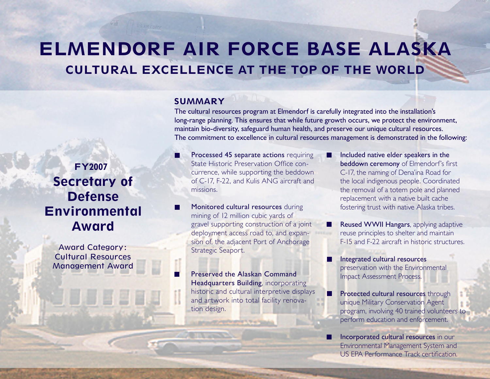# ELMENDORF AIR FORCE BASE ALASKA CULTURAL EXCELLENCE AT THE TOP OF THE WORLD

# **SUMMARY**

The cultural resources program at Elmendorf is carefully integrated into the installation's long-range planning. This ensures that while future growth occurs, we protect the environment, maintain bio-diversity, safeguard human health, and preserve our unique cultural resources. The commitment to excellence in cultural resources management is demonstrated in the following:

ш

ш

missions. Secretary of Defense

Environmental Award

FY2007

Award Category: Cultural Resources Management Award Processed 45 separate actions requiring State Historic Preservation Office concurrence, while supporting the beddown of C-17, F-22, and Kulis ANG aircraft and

Monitored cultural resources during mining of 12 million cubic yards of gravel supporting construction of a joint deployment access road to, and expansion of, the adjacent Port of Anchorage Strategic Seaport.

Preserved the Alaskan Command **Headquarters Building, incorporating** historic and cultural interpretive displays and artwork into total facility renovation design.

Included native elder speakers in the beddown ceremony of Elmendorf's first C-17, the naming of Dena'ina Road for the local indigenous people. Coordinated the removal of a totem pole and planned replacement with a native built cache fostering trust with native Alaska tribes.

Reused WWII Hangars, applying adaptive reuse principles to shelter and maintain F-15 and F-22 aircraft in historic structures.

Integrated cultural resources preservation with the Environmental Impact Assessment Process.

Protected cultural resources through unique Military Conservation Agent program, involving 40 trained volunteers to perform education and enforcement.

Incorporated cultural resources in our Environmental Management System and US EPA Performance Track certification.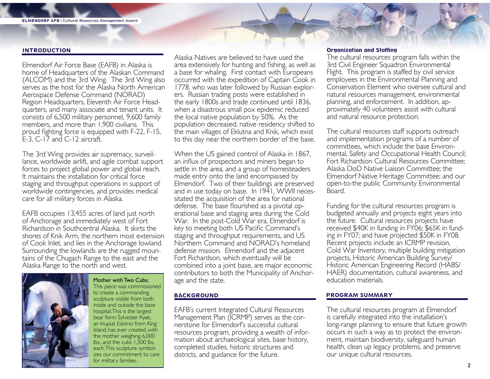### INTRODUCTION

Elmendorf Air Force Base (EAFB) in Alaska is home of Headquarters of the Alaskan Command (ALCOM) and the 3rd Wing. The 3rd Wing also serves as the host for the Alaska North American Aerospace Defense Command (NORAD) Region Headquarters, Eleventh Air Force Head- quarters, and many associate and tenant units. It consists of 6,500 military personnel, 9,600 family members, and more than 1,900 civilians. This proud fighting force is equipped with F-22, F-15, E-3, C-17 and C-12 aircraft.

The 3rd Wing provides air supremacy, surveil- lance, worldwide airlift, and agile combat support forces to project global power and global reach. It maintains the installation for critical force staging and throughput operations in support of worldwide contingencies, and provides medical care for all military forces in Alaska.

EAFB occupies 13,455 acres of land just north of Anchorage and immediately west of Fort Richardson in Southcentral Alaska. It skirts the shores of Knik Arm, the northern most extension of Cook Inlet, and lies in the Anchorage lowland. Surrounding the lowlands are the rugged moun- tains of the Chugach Range to the east and the Alaska Range to the north and west.



Mother with Two Cubs: This piece was commissioned to create a commanding sculpture visible from both inside and outside the base hospital. This is the largest bear form Sylvester Ayek, an Inupiat Eskimo from King Island, has ever created, with the mother weighing 6,000 lbs., and the cubs 1,500 lbs. each. This sculpture symbolizes our commitment to care for military families.

Alaska Natives are believed to have used the area extensively for hunting and fishing, as well as a base for whaling. First contact with Europeans occurred with the expedition of Captain Cook in 1778, who was later followed by Russian explorers. Russian trading posts were established in the early 1800s and trade continued until 1836, when a disastrous small pox epidemic reduced the local native population by 50%. As the population decreased, native residency shifted to the main villages of Eklutna and Knik, which exist to this day near the northern border of the base.

When the US gained control of Alaska in 1867, an influx of prospectors and miners began to settle in the area, and a group of homesteaders made entry onto the land encompassed by Elmendorf. Two of their buildings are preserved and in use today on base. In 1941, WWII neces- sitated the acquisition of the area for national defense. The base flourished as a pivotal op- erational base and staging area during the Cold War. In the post-Cold War era, Elmendorf is key to meeting both US Pacific Command's staging and throughput requirements, and US Northern Command and NORAD's homeland defense mission. Elmendorf and the adjacent Fort Richardson, which eventually will be combined into a joint base, are major economic contributors to both the Municipality of Anchorage and the state.

#### BACKGROUND

EAFB's current Integrated Cultural Resources Management Plan (ICRMP) serves as the cor-<br>nerstone for Elmendorf's successful cultural resources program, providing a wealth of information about archaeological sites, base history, completed studies, historic structures and districts, and guidance for the future.

#### Organization and Staffing

The cultural resources program falls within the 3rd Civil Engineer Squadron Environmental Flight. This program is staffed by civil service employees in the Environmental Planning and Conservation Element who oversee cultural and natural resources management, environmental planning, and enforcement. In addition, approximately 40 volunteers assist with cultural and natural resource protection.

The cultural resources staff supports outreach and implementation programs of a number of committees, which include the base Environmental, Safety and Occupational Health Council; Fort Richardson Cultural Resources Committee; Alaska DoD Native Liaison Committee; the Elmendorf Native Heritage Committee; and our open-to-the public Community Environmental Board.

Funding for the cultural resources program is budgeted annually and projects eight years into the future. Cultural resources projects have received \$40K in funding in FY06; \$65K in fund- ing in FY07; and have projected \$50K in FY08. Recent projects include an ICRMP revision, Cold War Inventory, multiple building mitigation projects, Historic American Building Survey/ Historic American Engineering Record (HABS/ HAER) documentation, cultural awareness, and education materials.

#### PROGRAM SUMMARY

The cultural resources program at Elmendorf is carefully integrated into the installation's long-range planning to ensure that future growth occurs in such a way as to protect the environ- ment, maintain biodiversity, safeguard human health, clean up legacy problems, and preserve our unique cultural resources.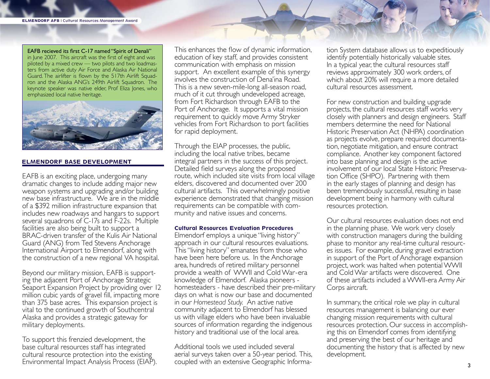EAFB recieved its first C-17 named "Spirit of Denali" in June 2007. This aircraft was the first of eight and was piloted by a mixed crew — two pilots and two loadmasters from active duty Air Force and Alaska Air National Guard. The airlifter is flown by the 517th Airlift Squadron and the Alaska ANG's 249th Airlift Squadron. The keynote speaker was native elder, Prof Eliza Jones, who emphasized local native heritage.



#### ELMENDORF BASE DEVELOPMENT

EAFB is an exciting place, undergoing many dramatic changes to include adding major new weapon systems and upgrading and/or building new base infrastructure. We are in the middle of a \$392 million infrastructure expansion that includes new roadways and hangars to support several squadrons of C-17s and F-22s. Multiple facilities are also being built to support a BRAC-driven transfer of the Kulis Air National Guard (ANG) from Ted Stevens Anchorage International Airport to Elmendorf, along with the construction of a new regional VA hospital.

Beyond our military mission, EAFB is supporting the adjacent Port of Anchorage Strategic Seaport Expansion Project by providing over 12 million cubic yards of gravel fill, impacting more than 375 base acres. This expansion project is vital to the continued growth of Southcentral Alaska and provides a strategic gateway for military deployments.

To support this frenzied development, the base cultural resources staff has integrated cultural resource protection into the existing Environmental Impact Analysis Process (EIAP). This enhances the flow of dynamic information, education of key staff, and provides consistent communication with emphasis on mission support. An excellent example of this synergy involves the construction of Dena'ina Road. This is a new seven-mile-long all-season road, much of it cut through undeveloped acreage, from Fort Richardson through EAFB to the Port of Anchorage. It supports a vital mission requirement to quickly move Army Stryker vehicles from Fort Richardson to port facilities for rapid deployment.

Through the EIAP processes, the public, including the local native tribes, became integral partners in the success of this project. Detailed field surveys along the proposed route, which included site visits from local village elders, discovered and documented over 200 cultural artifacts. This overwhelmingly positive experience demonstrated that changing mission requirements can be compatible with community and native issues and concerns.

#### Cultural Resources Evaluation Procedures

Elmendorf employs a unique "living history" approach in our cultural resources evaluations. This "living history" emanates from those who have been here before us. In the Anchorage area, hundreds of retired military personnel provide a wealth of WWII and Cold War -era knowledge of Elmendorf. Alaska pioneers homesteaders - have described their pre-military days on what is now our base and documented in our *Homestead Study.* An active native community adjacent to Elmendorf has blessed us with village elders who have been invaluable sources of information regarding the indigenous history and traditional use of the local area.

Additional tools we used included several aerial surveys taken over a 50-year period. This, coupled with an extensive Geographic Information System database allows us to expeditiously identify potentially historically valuable sites. In a typical year, the cultural resources staff reviews approximately 300 work orders, of which about 20% will require a more detailed cultural resources assessment.

For new construction and building upgrade projects, the cultural resources staff works very closely with planners and design engineers. Staff members determine the need for National Historic Preservation Act (NHPA) coordination as projects evolve, prepare required documenta- tion, negotiate mitigation, and ensure contract compliance. Another key component factored into base planning and design is the active involvement of our local State Historic Preserva- tion Office (SHPO). Partnering with them in the early stages of planning and design has been tremendously successful, resulting in base development being in harmony with cultural resources protection.

Our cultural resources evaluation does not end in the planning phase. We work very closely with construction managers during the building phase to monitor any real-time cultural resourc- es issues. For example, during gravel extraction in support of the Port of Anchorage expansion project, work was halted when potential WWII and Cold War artifacts were discovered. One of these artifacts included a WWII-era Army Air Corps aircraft.

In summary, the critical role we play in cultural resources management is balancing our ever changing mission requirements with cultural resources protection. Our success in accomplish- ing this on Elmendorf comes from identifying and preserving the best of our heritage and documenting the history that is affected by new development.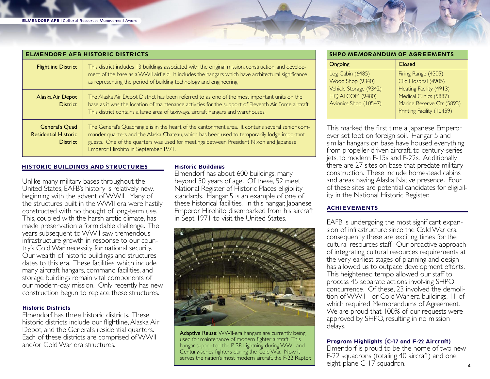| <b>ELMENDORF AFB HISTORIC DISTRICTS</b>                                 |                                                                                                                                                                                                                                                                                                                                 |
|-------------------------------------------------------------------------|---------------------------------------------------------------------------------------------------------------------------------------------------------------------------------------------------------------------------------------------------------------------------------------------------------------------------------|
| <b>Flightline District</b>                                              | This district includes 13 buildings associated with the original mission, construction, and develop-<br>ment of the base as a WWII airfield. It includes the hangars which have architectural significance<br>as representing the period of building technology and engineering.                                                |
| Alaska Air Depot<br><b>District</b>                                     | The Alaska Air Depot District has been referred to as one of the most important units on the<br>base as it was the location of maintenance activities for the support of Eleventh Air Force aircraft.<br>This district contains a large area of taxiways, aircraft hangars and warehouses.                                      |
| <b>General's Quad</b><br><b>Residential Historic</b><br><b>District</b> | The General's Quadrangle is in the heart of the cantonment area. It contains several senior com-<br>mander quarters and the Alaska Chateau, which has been used to temporarily lodge important<br>guests. One of the quarters was used for meetings between President Nixon and Japanese<br>Emperor Hirohito in September 1971. |

### HISTORIC BUILDINGS AND STRUCTURES

Unlike many military bases throughout the United States, EAFB's history is relatively new, beginning with the advent of WWII. Many of the structures built in the WWII era were hastily constructed with no thought of long-term use. This, coupled with the harsh arctic climate, has made preservation a formidable challenge. The years subsequent to WWII saw tremendous infrastructure growth in response to our coun- try's Cold War necessity for national security. Our wealth of historic buildings and structures dates to this era. These facilities, which include many aircraft hangars, command facilities, and storage buildings remain vital components of our modern-day mission. Only recently has new construction begun to replace these structures.

# Historic Districts

Elmendorf has three historic districts. These historic districts include our flightline, Alaska Air Depot, and the General's residential quarters. Each of these districts are comprised of WWII and/or Cold War era structures.

# Historic Buildings

Elmendorf has about 600 buildings, many beyond 50 years of age. Of these, 52 meet National Register of Historic Places eligibility standards. Hangar 5 is an example of one of these historical facilities. In this hangar, Japanese Emperor Hirohito disembarked from his aircraft in Sept 1971 to visit the United States.



Adaptive Reuse: WWII-era hangars are currently being used for maintenance of modern fighter aircraft. This hangar supported the P-38 Lightning during WWII and Century-series fighters during the Cold War. Now it serves the nation's most modern aircraft, the F-22 Raptor.

| <b>SHPO MEMORANDUM OF AGREEMENTS</b>                                              |                                                                                                 |  |  |
|-----------------------------------------------------------------------------------|-------------------------------------------------------------------------------------------------|--|--|
| Ongoing                                                                           | Closed                                                                                          |  |  |
| Log Cabin (6485)<br>Wood Shop (9340)<br>Vehicle Storage (9342)<br>HQ ALCOM (9480) | Firing Range (4305)<br>Old Hospital (4905)<br>Heating Facility (4913)<br>Medical Clinics (5887) |  |  |
| Avionics Shop (10547)                                                             | Marine Reserve Ctr (5893)<br>Printing Facility (10459)                                          |  |  |

This marked the first time a Japanese Emperor ever set foot on foreign soil. Hangar 5 and similar hangars on base have housed everything from propeller-driven aircraft, to century-series jets, to modern F-15s and F-22s. Additionally, there are 27 sites on base that predate military construction. These include homestead cabins and areas having Alaska Native presence. Four of these sites are potential candidates for eligibil- ity in the National Historic Register.

# ACHIEVEMENTS

EAFB is undergoing the most significant expansion of infrastructure since the Cold War era, consequently these are exciting times for the cultural resources staff. Our proactive approach of integrating cultural resources requirements at the very earliest stages of planning and design has allowed us to outpace development efforts. This heightened tempo allowed our staff to process 45 separate actions involving SHPO concurrence. Of these, 23 involved the demolition of WWII - or Cold War-era buildings, 11 of which required Memorandums of Agreement. We are proud that 100% of our requests were approved by SHPO, resulting in no mission delays.

# Program Highlights (C-17 and F-22 Aircraft)

Elmendorf is proud to be the home of two new F-22 squadrons (totaling 40 aircraft) and one eight-plane C-17 squadron.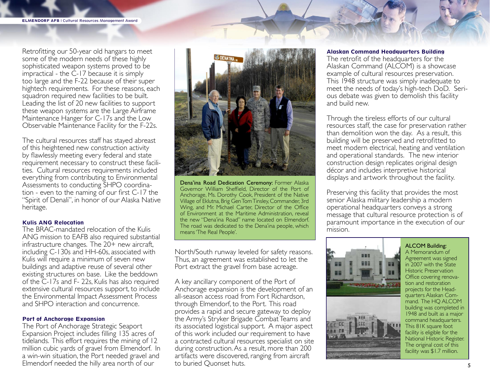Retrofitting our 50-year old hangars to meet some of the modern needs of these highly sophisticated weapon systems proved to be impractical - the C-17 because it is simply too large and the F-22 because of their super hightech requirements. For these reasons, each squadron required new facilities to be built. Leading the list of 20 new facilities to support these weapon systems are the Large Airframe Maintenance Hanger for C-17s and the Low Observable Maintenance Facility for the F-22s.

The cultural resources staff has stayed abreast of this heightened new construction activity by flawlessly meeting every federal and state<br>requirement necessary to construct these facilities. Cultural resources requirements included everything from contributing to Environmental<br>Assessments to conducting SHPO coordina- $\frac{1}{\pi}$  tion - even to the naming of our first C-17 the "Spirit of Denali", in honor of our Alaska Native heritage.

#### Kulis ANG Relocation

The BRAC-mandated relocation of the Kulis ANG mission to EAFB also required substantial infrastructure changes. The  $20+$  new aircraft, including C-130s and HH-60s, associated with Kulis will require a minimum of seven new buildings and adaptive reuse of several other existing structures on base. Like the beddown of the C-17s and F- 22s, Kulis has also required extensive cultural resources support, to include the Environmental Impact Assessment Process and SHPO interaction and concurrence.

#### Port of Anchorage Expansion

The Port of Anchorage Strategic Seaport Expansion Project includes filling 135 acres of tidelands. This effort requires the mining of 12 million cubic yards of gravel from Elmendorf. In a win-win situation, the Port needed gravel and Elmendorf needed the hilly area north of our



Dena'ina Road Dedication Ceremony: Former Alaska Governor William Sheffield, Director of the Port of Anchorage, Ms. Dorothy Cook, President of the Native Village of Eklutna, Brig Gen Tom Tinsley, Commander, 3rd Wing, and Mr. Michael Carter, Director of the Office of Environment at the Maritime Administration, reveal the new "Dena'ina Road" name located on Elmendorf. The road was dedicated to the Dena'ina people, which means 'The Real People'.

North/South runway leveled for safety reasons. Thus, an agreement was established to let the Port extract the gravel from base acreage.

A key ancillary component of the Port of Anchorage expansion is the development of an all-season access road from Fort Richardson, through Elmendorf, to the Port. This road provides a rapid and secure gateway to deploy the Army's Stryker Brigade Combat Teams and its associated logistical support. A major aspect of this work included our requirement to have a contracted cultural resources specialist on site during construction. As a result, more than 200 artifacts were discovered, ranging from aircraft to buried Quonset huts.

#### Alaskan Command Headquarters Building

The retrofit of the headquarters for the Alaskan Command (ALCOM) is a showcase example of cultural resources preservation. This 1948 structure was simply inadequate to<br>meet the needs of today's high-tech DoD. Serious debate was given to demolish this facility and build new.

Through the tireless efforts of our cultural resources staff, the case for preservation rather than demolition won the day. As a result, this building will be preserved and retrofitted to meet modern electrical, heating and ventilation and operational standards. The new interior construction design replicates original design décor and includes interpretive historical displays and artwork throughout the facility.

Preserving this facility that provides the most senior Alaska military leadership a modern operational headquarters conveys a strong message that cultural resource protection is of paramount importance in the execution of our mission.





ALCOM Building: A Memorandum of Agreement was signed in 2007 with the State Historic Preservation Office covering renovation and restoration projects for the Headquarters Alaskan Command. The HQ ALCOM building was completed in 1948 and built as a major command headquarters. This 81K square foot facility is eligible for the National Historic Register. The original cost of this facility was \$1.7 million.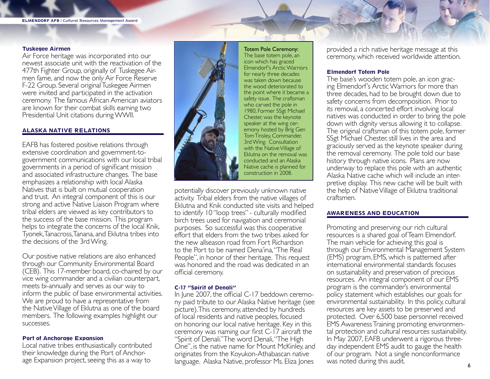#### Tuskegee Airmen

Air Force heritage was incorporated into our newest associate unit with the reactivation of the 477th Fighter Group, originally of Tuskegee Airmen fame, and now the only Air Force Reserve F-22 Group. Several original Tuskegee Airmen were invited and participated in the activation ceremony. The famous African American aviators are known for their combat skills earning two Presidential Unit citations during WWII.

# ALASKA NATIVE RELATIONS

EAFB has fostered positive relations through extensive coordination and government-togovernment communications with our local tribal governments in a period of significant mission and associated infrastructure changes. The base emphasizes a relationship with local Alaska Natives that is built on mutual cooperation and trust. An integral component of this is our strong and active Native Liaison Program where tribal elders are viewed as key contributors to the success of the base mission. This program helps to integrate the concerns of the local Knik, Tyonek, Tanacross, Tanana, and Eklutna tribes into the decisions of the 3rd Wing.

Our positive native relations are also enhanced through our Community Environmental Board (CEB). This 17-member board, co-chaired by our vice wing commander and a civilian counterpart, meets bi-annually and serves as our way to inform the public of base environmental activities. We are proud to have a representative from the Native Village of Eklutna as one of the board members. The following examples highlight our successes.

# Port of Anchorage Expansion

Local native tribes enthusiastically contributed their knowledge during the Port of Anchorage Expansion project, seeing this as a way to



Totem Pole Ceremony: The base totem pole, an icon which has graced Elmendorf's Arctic Warriors for nearly three decades was taken down because the wood deteriorated to the point where it became a safety issue. The craftsman who carved the pole in 1980, Former SSgt Michael Chester, was the keynote speaker at the wing ceremony hosted by Brig Gen Tom Tinsley, Commander, 3rd Wing. Consultation with the Native Village of Eklutna on the removal was conducted and an Alaska Native cache is planned for construction in 2008.

potentially discover previously unknown native activity. Tribal elders from the native villages of Eklutna and Knik conducted site visits and helped to identify 10 "loop trees" - culturally modified birch trees used for navigation and ceremonial purposes. So successful was this cooperative effort that elders from the two tribes asked for the new allseason road from Fort Richardson to the Port to be named Dena'ina, "The Real People", in honor of their heritage. This request was honored and the road was dedicated in an official ceremony.

# C-17 "Spirit of Denali"

In June 2007, the official C-17 beddown ceremony paid tribute to our Alaska Native heritage (see picture). This ceremony, attended by hundreds of local residents and native peoples, focused on honoring our local native heritage. Key in this ceremony was naming our first C-17 aircraft the "Spirit of Denali." The word Denali, "The High One", is the native name for Mount McKinley, and originates from the Koyukon-Athabascan native language. Alaska Native, professor Ms. Eliza Jones

provided a rich native heritage message at this ceremony, which received worldwide attention.

# Elmendorf Totem Pole

The base's wooden totem pole, an icon gracing Elmendorf's Arctic Warriors for more than three decades, had to be brought down due to safety concerns from decomposition. Prior to its removal, a concerted effort involving local natives was conducted in order to bring the pole down with dignity versus allowing it to collapse. The original craftsman of this totem pole, former SSgt Michael Chester, still lives in the area and graciously served as the keynote speaker during the removal ceremony. The pole told our base history through native icons. Plans are now underway to replace this pole with an authentic Alaska Native cache which will include an interpretive display. This new cache will be built with the help of Native Village of Eklutna traditional craftsmen.

# AWARENESS AND EDUCATION

Promoting and preserving our rich cultural resources is a shared goal of Team Elmendorf. The main vehicle for achieving this goal is through our Environmental Management System (EMS) program. EMS, which is patterned after international environmental standards focuses on sustainability and preservation of precious resources. An integral component of our EMS program is the commander's environmental policy statement which establishes our goals for environmental sustainability. In this policy, cultural resources are key assets to be preserved and protected. Over 6,500 base personnel received EMS Awareness Training promoting environmental protection and cultural resources sustainability. In May 2007, EAFB underwent a rigorous threeday independent EMS audit to gauge the health of our program. Not a single nonconformance was noted during this audit.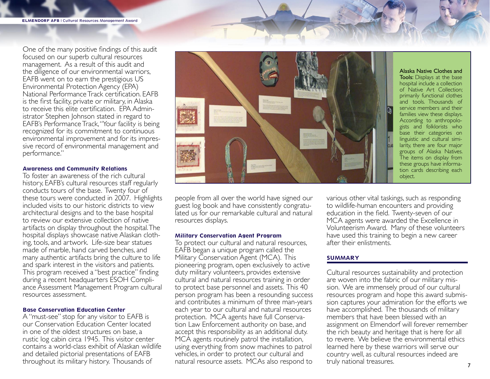One of the many positive findings of this audit focused on our superb cultural resources management. As a result of this audit and the diligence of our environmental warriors, EAFB went on to earn the prestigious US Environmental Protection Agency (EPA) National Performance Track certification. EAFB is the first facility, private or military, in Alaska to receive this elite certification. EPA Admin- istrator Stephen Johnson stated in regard to EAFB's Performance Track, "Your facility is being recognized for its commitment to continuous environmental improvement and for its impres- sive record of environmental management and performance."

#### Awareness and Community Relations

To foster an awareness of the rich cultural history, EAFB's cultural resources staff regularly conducts tours of the base. Twenty four of these tours were conducted in 2007. Highlights included visits to our historic districts to view architectural designs and to the base hospital to review our extensive collection of native artifacts on display throughout the hospital. The hospital displays showcase native Alaskan clothing, tools, and artwork. Life-size bear statues made of marble, hand carved benches, and many authentic artifacts bring the culture to life and spark interest in the visitors and patients. This program received a "best practice" finding during a recent headquarters ESOH Compliance Assessment Management Program cultural resources assessment.

#### Base Conservation Education Center

A "must-see" stop for any visitor to EAFB is our Conservation Education Center located in one of the oldest structures on base, a rustic log cabin circa 1945. This visitor center contains a world-class exhibit of Alaskan wildlife and detailed pictorial presentations of EAFB throughout its military history. Thousands of



Alaska Native Clothes and Tools: Displays at the base hospital include a collection of Native Art Collection; primarily functional clothes and tools. Thousands of service members and their families view these displays. According to anthropologists and folklorists who base their categories on linguistic and cultural similarity, there are four major groups of Alaska Natives. The items on display from these groups have information cards describing each object.

people from all over the world have signed our guest log book and have consistently congratulated us for our remarkable cultural and natural resources displays.

#### Military Conservation Agent Program

To protect our cultural and natural resources, EAFB began a unique program called the Military Conservation Agent (MCA). This pioneering program, open exclusively to active duty military volunteers, provides extensive cultural and natural resources training in order to protect base personnel and assets. This 40 person program has been a resounding success and contributes a minimum of three man-years each year to our cultural and natural resources protection. MCA agents have full Conservation Law Enforcement authority on base, and accept this responsibility as an additional duty. MCA agents routinely patrol the installation, using everything from snow machines to patrol vehicles, in order to protect our cultural and natural resource assets. MCAs also respond to

various other vital taskings, such as responding to wildlife-human encounters and providing education in the field. Twenty-seven of our MCA agents were awarded the Excellence in Volunteerism Award. Many of these volunteers have used this training to begin a new career after their enlistments.

#### SUMMARY

Cultural resources sustainability and protection are woven into the fabric of our military mission. We are immensely proud of our cultural resources program and hope this award submission captures your admiration for the efforts we have accomplished. The thousands of military members that have been blessed with an assignment on Elmendorf will forever remember the rich beauty and heritage that is here for all to revere. We believe the environmental ethics learned here by these warriors will serve our country well, as cultural resources indeed are truly national treasures.